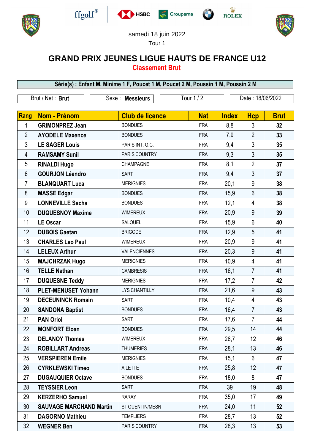











samedi 18 juin 2022

Tour 1

## **GRAND PRIX JEUNES LIGUE HAUTS DE FRANCE U12**

**Classement Brut**

**Série(s) : Enfant M, Minime 1 F, Poucet 1 M, Poucet 2 M, Poussin 1 M, Poussin 2 M** Brut / Net : **Brut** Sexe : **Messieurs** Tour 1 / 2 Date : 18/06/2022 **Rang Nom - Prénom**  $\vert$  **Club de licence**  $\vert$  **Nat <b>Index** Hcp Brut **GRIMONPREZ Jean** BONDUES FRA 8.8 3 32 **AYODELE Maxence** BONDUES FRA 7,9 2 **33 LE SAGER Louis** PARIS INT. G.C. FRA 9,4 3 **35 RAMSAMY Sunil PARIS COUNTRY FRA** 9.3 3 35 **RINALDI Hugo** CHAMPAGNE FRA 8,1 2 **37 GOURJON Léandro** SART FRA 9,4 3 **37 BLANQUART Luca** MERIGNIES FRA 20,1 9 **38 MASSE Edgar** BONDUES FRA 15,9 6 **38 LONNEVILLE Sacha** BONDUES FRA 12,1 4 **38 DUQUESNOY Maxime** WIMEREUX FRA 20,9 9 **39 LE Oscar** SALOUEL FRA 15,9 6 **40 DUBOIS Gaetan** BRIGODE FRA 12,9 5 **41 CHARLES Leo Paul** WIMEREUX FRA 20,9 9 **41 LELEUX Arthur** VALENCIENNES FRA 20,3 9 **41 MAJCHRZAK Hugo** MERIGNIES FRA 10,9 4 **41 TELLE Nathan** CAMBRESIS FRA 16,1 7 **41 DUQUESNE Teddy** MERIGNIES FRA 17,2 7 **42 PLET-MENUSET Yohann** LYS CHANTILLY FRA 21,6 9 **43 DECEUNINCK Romain** SART **FRA** 10.4 4 43 **SANDONA Baptist** BONDUES FRA 16,4 7 **43 PAN Oriol** SART FRA 17,6 7 **44 MONFORT Eloan** BONDUES FRA 29,5 14 **44 DELANOY Thomas** WIMEREUX FRA 26,7 12 **46 ROBILLART Andreas** THUMERIES FRA 28,1 13 **46 VERSPIEREN Emile** MERIGNIES FRA 15,1 6 **47 CYRKLEWSKI Timeo** AILETTE FRA 25,8 12 **47 DUGAUQUIER Octave** BONDUES FRA 18,0 8 **47 TEYSSIER Leon** SART FRA 39 19 **48 KERZERHO Samuel** RARAY FRA 35,0 17 **49**

 **SAUVAGE MARCHAND Martin** ST QUENTIN/MESN FRA 24,0 11 **52 DAGORNO Mathieu** TEMPLIERS FRA 28,7 13 **52 WEGNER Ben** PARIS COUNTRY FRA 28,3 13 **53**